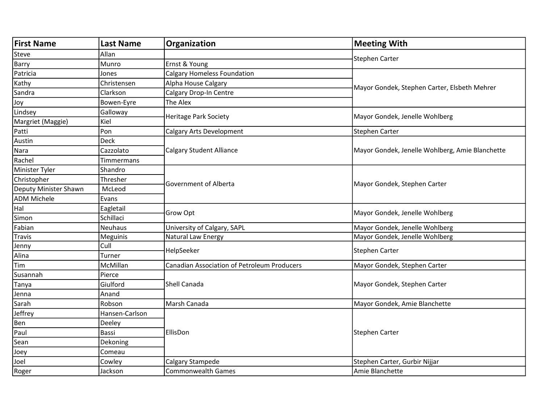| <b>First Name</b>     | <b>Last Name</b> | Organization                                       | <b>Meeting With</b>                             |
|-----------------------|------------------|----------------------------------------------------|-------------------------------------------------|
| Steve                 | Allan            |                                                    | Stephen Carter                                  |
| Barry                 | Munro            | Ernst & Young                                      |                                                 |
| Patricia              | Jones            | <b>Calgary Homeless Foundation</b>                 |                                                 |
| Kathy                 | Christensen      | Alpha House Calgary                                | Mayor Gondek, Stephen Carter, Elsbeth Mehrer    |
| Sandra                | Clarkson         | Calgary Drop-In Centre                             |                                                 |
| Joy                   | Bowen-Eyre       | The Alex                                           |                                                 |
| Lindsey               | Galloway         | <b>Heritage Park Society</b>                       | Mayor Gondek, Jenelle Wohlberg                  |
| Margriet (Maggie)     | Kiel             |                                                    |                                                 |
| Patti                 | Pon              | Calgary Arts Development                           | Stephen Carter                                  |
| Austin                | Deck             |                                                    |                                                 |
| Nara                  | Cazzolato        | <b>Calgary Student Alliance</b>                    | Mayor Gondek, Jenelle Wohlberg, Amie Blanchette |
| Rachel                | Timmermans       |                                                    |                                                 |
| Minister Tyler        | Shandro          |                                                    |                                                 |
| Christopher           | Thresher         | Government of Alberta                              | Mayor Gondek, Stephen Carter                    |
| Deputy Minister Shawn | McLeod           |                                                    |                                                 |
| <b>ADM Michele</b>    | Evans            |                                                    |                                                 |
| Hal                   | Eagletail        | Grow Opt                                           | Mayor Gondek, Jenelle Wohlberg                  |
| Simon                 | Schillaci        |                                                    |                                                 |
| Fabian                | <b>Neuhaus</b>   | University of Calgary, SAPL                        | Mayor Gondek, Jenelle Wohlberg                  |
| Travis                | Meguinis         | Natural Law Energy                                 | Mayor Gondek, Jenelle Wohlberg                  |
| Jenny                 | Cull             | HelpSeeker                                         | <b>Stephen Carter</b>                           |
| Alina                 | Turner           |                                                    |                                                 |
| Tim                   | McMillan         | <b>Canadian Association of Petroleum Producers</b> | Mayor Gondek, Stephen Carter                    |
| Susannah              | Pierce           |                                                    |                                                 |
| Tanya                 | Giulford         | Shell Canada                                       | Mayor Gondek, Stephen Carter                    |
| Jenna                 | Anand            |                                                    |                                                 |
| Sarah                 | Robson           | Marsh Canada                                       | Mayor Gondek, Amie Blanchette                   |
| Jeffrey               | Hansen-Carlson   |                                                    |                                                 |
| Ben                   | Deeley           |                                                    |                                                 |
| Paul                  | Bassi            | <b>EllisDon</b>                                    | Stephen Carter                                  |
| Sean                  | Dekoning         |                                                    |                                                 |
| Joey                  | Comeau           |                                                    |                                                 |
| Joel                  | Cowley           | Calgary Stampede                                   | Stephen Carter, Gurbir Nijjar                   |
| Roger                 | Jackson          | <b>Commonwealth Games</b>                          | Amie Blanchette                                 |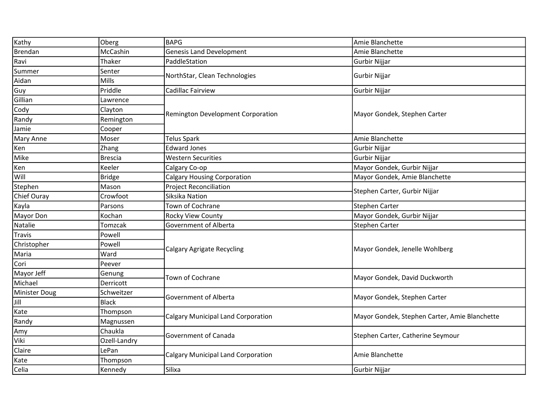| Kathy         | Oberg          | <b>BAPG</b>                               | Amie Blanchette                               |
|---------------|----------------|-------------------------------------------|-----------------------------------------------|
| Brendan       | McCashin       | <b>Genesis Land Development</b>           | Amie Blanchette                               |
| Ravi          | Thaker         | PaddleStation                             | Gurbir Nijjar                                 |
| Summer        | Senter         | NorthStar, Clean Technologies             | Gurbir Nijjar                                 |
| Aidan         | <b>Mills</b>   |                                           |                                               |
| Guy           | Priddle        | Cadillac Fairview                         | Gurbir Nijjar                                 |
| Gillian       | Lawrence       |                                           |                                               |
| Cody          | Clayton        | Remington Development Corporation         | Mayor Gondek, Stephen Carter                  |
| Randy         | Remington      |                                           |                                               |
| Jamie         | Cooper         |                                           |                                               |
| Mary Anne     | Moser          | Telus Spark                               | Amie Blanchette                               |
| Ken           | Zhang          | <b>Edward Jones</b>                       | Gurbir Nijjar                                 |
| Mike          | <b>Brescia</b> | <b>Western Securities</b>                 | Gurbir Nijjar                                 |
| Ken           | Keeler         | Calgary Co-op                             | Mayor Gondek, Gurbir Nijjar                   |
| Will          | <b>Bridge</b>  | <b>Calgary Housing Corporation</b>        | Mayor Gondek, Amie Blanchette                 |
| Stephen       | Mason          | <b>Project Reconciliation</b>             | Stephen Carter, Gurbir Nijjar                 |
| Chief Ouray   | Crowfoot       | Siksika Nation                            |                                               |
| Kayla         | Parsons        | Town of Cochrane                          | <b>Stephen Carter</b>                         |
| Mayor Don     | Kochan         | Rocky View County                         | Mayor Gondek, Gurbir Nijjar                   |
| Natalie       | Tomzcak        | Government of Alberta                     | <b>Stephen Carter</b>                         |
| Travis        | Powell         | Calgary Agrigate Recycling                |                                               |
| Christopher   | Powell         |                                           | Mayor Gondek, Jenelle Wohlberg                |
| Maria         | Ward           |                                           |                                               |
| Cori          | Peever         |                                           |                                               |
| Mayor Jeff    | Genung         | Town of Cochrane                          |                                               |
| Michael       | Derricott      |                                           | Mayor Gondek, David Duckworth                 |
| Minister Doug | Schweitzer     | Government of Alberta                     | Mayor Gondek, Stephen Carter                  |
| Jill          | <b>Black</b>   |                                           |                                               |
| Kate          | Thompson       |                                           |                                               |
| Randy         | Magnussen      | <b>Calgary Municipal Land Corporation</b> | Mayor Gondek, Stephen Carter, Amie Blanchette |
| Amy           | Chaukla        | Government of Canada                      |                                               |
| Viki          | Ozell-Landry   |                                           | Stephen Carter, Catherine Seymour             |
| Claire        | LePan          | <b>Calgary Municipal Land Corporation</b> | Amie Blanchette                               |
| Kate          | Thompson       |                                           |                                               |
| Celia         | Kennedy        | Silixa                                    | Gurbir Nijjar                                 |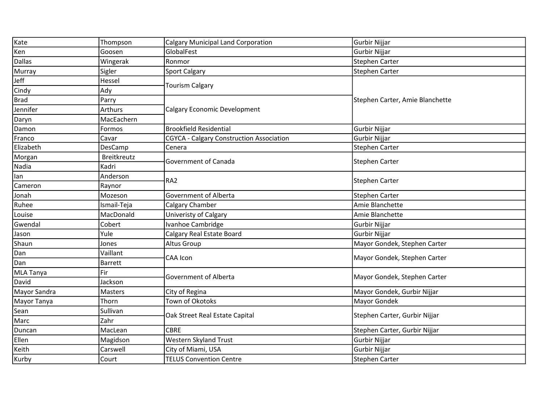| Kate             | Thompson       | <b>Calgary Municipal Land Corporation</b>       | Gurbir Nijjar                   |
|------------------|----------------|-------------------------------------------------|---------------------------------|
| Ken              | Goosen         | GlobalFest                                      | Gurbir Nijjar                   |
| <b>Dallas</b>    | Wingerak       | Ronmor                                          | Stephen Carter                  |
| Murray           | Sigler         | Sport Calgary                                   | <b>Stephen Carter</b>           |
| Jeff             | Hessel         | Tourism Calgary                                 |                                 |
| Cindy            | Ady            |                                                 |                                 |
| <b>Brad</b>      | Parry          |                                                 | Stephen Carter, Amie Blanchette |
| Jennifer         | <b>Arthurs</b> | Calgary Economic Development                    |                                 |
| Daryn            | MacEachern     |                                                 |                                 |
| Damon            | Formos         | <b>Brookfield Residential</b>                   | Gurbir Nijjar                   |
| Franco           | Cavar          | <b>CGYCA - Calgary Construction Association</b> | Gurbir Nijjar                   |
| Elizabeth        | DesCamp        | Cenera                                          | Stephen Carter                  |
| Morgan           | Breitkreutz    | Government of Canada                            | <b>Stephen Carter</b>           |
| Nadia            | Kadri          |                                                 |                                 |
| lan              | Anderson       | RA <sub>2</sub>                                 | <b>Stephen Carter</b>           |
| Cameron          | Raynor         |                                                 |                                 |
| Jonah            | Mozeson        | Government of Alberta                           | <b>Stephen Carter</b>           |
| Ruhee            | Ismail-Teja    | Calgary Chamber                                 | Amie Blanchette                 |
| Louise           | MacDonald      | <b>Univeristy of Calgary</b>                    | Amie Blanchette                 |
| Gwendal          | Cobert         | Ivanhoe Cambridge                               | Gurbir Nijjar                   |
| Jason            | Yule           | Calgary Real Estate Board                       | Gurbir Nijjar                   |
| Shaun            | Jones          | Altus Group                                     | Mayor Gondek, Stephen Carter    |
| Dan              | Vaillant       | <b>CAA Icon</b>                                 | Mayor Gondek, Stephen Carter    |
| Dan              | <b>Barrett</b> |                                                 |                                 |
| <b>MLA Tanya</b> | Fir            | Government of Alberta                           | Mayor Gondek, Stephen Carter    |
| David            | Jackson        |                                                 |                                 |
| Mayor Sandra     | Masters        | City of Regina                                  | Mayor Gondek, Gurbir Nijjar     |
| Mayor Tanya      | Thorn          | Town of Okotoks                                 | <b>Mayor Gondek</b>             |
| Sean             | Sullivan       | Oak Street Real Estate Capital                  |                                 |
| Marc             | Zahr           |                                                 | Stephen Carter, Gurbir Nijjar   |
| Duncan           | MacLean        | <b>CBRE</b>                                     | Stephen Carter, Gurbir Nijjar   |
| Ellen            | Magidson       | <b>Western Skyland Trust</b>                    | Gurbir Nijjar                   |
| Keith            | Carswell       | City of Miami, USA                              | Gurbir Nijjar                   |
| Kurby            | Court          | <b>TELUS Convention Centre</b>                  | <b>Stephen Carter</b>           |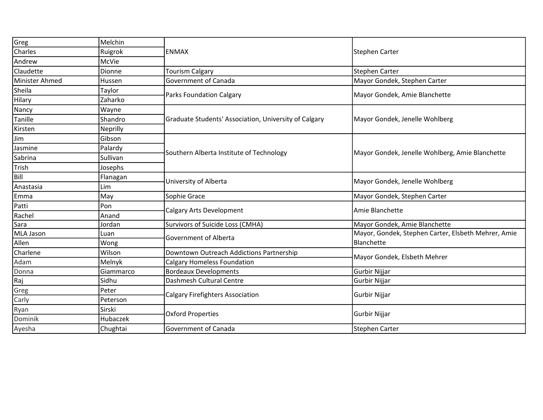| Greg           | Melchin   | <b>ENMAX</b>                                          | <b>Stephen Carter</b>                                             |
|----------------|-----------|-------------------------------------------------------|-------------------------------------------------------------------|
| Charles        | Ruigrok   |                                                       |                                                                   |
| Andrew         | McVie     |                                                       |                                                                   |
| Claudette      | Dionne    | <b>Tourism Calgary</b>                                | Stephen Carter                                                    |
| Minister Ahmed | Hussen    | Government of Canada                                  | Mayor Gondek, Stephen Carter                                      |
| Sheila         | Taylor    |                                                       |                                                                   |
| Hilary         | Zaharko   | <b>Parks Foundation Calgary</b>                       | Mayor Gondek, Amie Blanchette                                     |
| Nancy          | Wayne     |                                                       |                                                                   |
| Tanille        | Shandro   | Graduate Students' Association, University of Calgary | Mayor Gondek, Jenelle Wohlberg                                    |
| Kirsten        | Neprilly  |                                                       |                                                                   |
| Jim            | Gibson    |                                                       |                                                                   |
| Jasmine        | Palardy   |                                                       |                                                                   |
| Sabrina        | Sullivan  | Southern Alberta Institute of Technology              | Mayor Gondek, Jenelle Wohlberg, Amie Blanchette                   |
| Trish          | Josephs   |                                                       |                                                                   |
| Bill           | Flanagan  | University of Alberta                                 | Mayor Gondek, Jenelle Wohlberg                                    |
| Anastasia      | Lim       |                                                       |                                                                   |
| Emma           | May       | Sophie Grace                                          | Mayor Gondek, Stephen Carter                                      |
| Patti          | Pon       |                                                       | Amie Blanchette                                                   |
| Rachel         | Anand     | Calgary Arts Development                              |                                                                   |
| Sara           | Jordan    | Survivors of Suicide Loss (CMHA)                      | Mayor Gondek, Amie Blanchette                                     |
| MLA Jason      | Luan      | Government of Alberta                                 | Mayor, Gondek, Stephen Carter, Elsbeth Mehrer, Amie<br>Blanchette |
| Allen          | Wong      |                                                       |                                                                   |
| Charlene       | Wilson    | Downtown Outreach Addictions Partnership              | Mayor Gondek, Elsbeth Mehrer                                      |
| Adam           | Melnyk    | <b>Calgary Homeless Foundation</b>                    |                                                                   |
| Donna          | Giammarco | <b>Bordeaux Developments</b>                          | Gurbir Nijjar                                                     |
| Raj            | Sidhu     | Dashmesh Cultural Centre                              | Gurbir Nijjar                                                     |
| Greg           | Peter     | Calgary Firefighters Association                      |                                                                   |
| Carly          | Peterson  |                                                       | Gurbir Nijjar                                                     |
| Ryan           | Sirski    | <b>Oxford Properties</b>                              |                                                                   |
| Dominik        | Hubaczek  |                                                       | Gurbir Nijjar                                                     |
| Ayesha         | Chughtai  | Government of Canada                                  | Stephen Carter                                                    |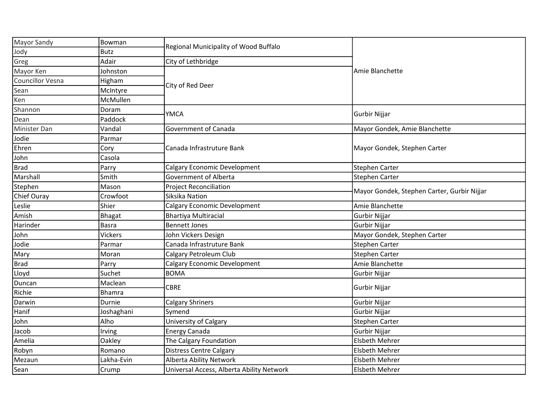| Mayor Sandy      | Bowman        | Regional Municipality of Wood Buffalo     |                                             |
|------------------|---------------|-------------------------------------------|---------------------------------------------|
| Jody             | Butz          |                                           |                                             |
| Greg             | Adair         | City of Lethbridge                        |                                             |
| Mayor Ken        | Johnston      |                                           | Amie Blanchette                             |
| Councillor Vesna | Higham        | City of Red Deer                          |                                             |
| Sean             | McIntyre      |                                           |                                             |
| Ken              | McMullen      |                                           |                                             |
| Shannon          | Doram         | <b>YMCA</b>                               | Gurbir Nijjar                               |
| Dean             | Paddock       |                                           |                                             |
| Minister Dan     | Vandal        | Government of Canada                      | Mayor Gondek, Amie Blanchette               |
| Jodie            | Parmar        |                                           |                                             |
| Ehren            | Cory          | Canada Infrastruture Bank                 | Mayor Gondek, Stephen Carter                |
| John             | Casola        |                                           |                                             |
| <b>Brad</b>      | Parry         | Calgary Economic Development              | <b>Stephen Carter</b>                       |
| Marshall         | Smith         | Government of Alberta                     | <b>Stephen Carter</b>                       |
| Stephen          | Mason         | <b>Project Reconciliation</b>             |                                             |
| Chief Ouray      | Crowfoot      | Siksika Nation                            | Mayor Gondek, Stephen Carter, Gurbir Nijjar |
| Leslie           | Shier         | Calgary Economic Development              | Amie Blanchette                             |
| Amish            | Bhagat        | <b>Bhartiya Multiracial</b>               | Gurbir Nijjar                               |
| Harinder         | <b>Basra</b>  | <b>Bennett Jones</b>                      | Gurbir Nijjar                               |
| John             | Vickers       | John Vickers Design                       | Mayor Gondek, Stephen Carter                |
| Jodie            | Parmar        | Canada Infrastruture Bank                 | <b>Stephen Carter</b>                       |
| Mary             | Moran         | Calgary Petroleum Club                    | <b>Stephen Carter</b>                       |
| <b>Brad</b>      | Parry         | Calgary Economic Development              | Amie Blanchette                             |
| Lloyd            | Suchet        | <b>BOMA</b>                               | Gurbir Nijjar                               |
| Duncan           | Maclean       | <b>CBRE</b>                               | Gurbir Nijjar                               |
| Richie           | <b>Bhamra</b> |                                           |                                             |
| Darwin           | Durnie        | <b>Calgary Shriners</b>                   | Gurbir Nijjar                               |
| Hanif            | Joshaghani    | Symend                                    | Gurbir Nijjar                               |
| John             | Alho          | University of Calgary                     | <b>Stephen Carter</b>                       |
| Jacob            | Irving        | Energy Canada                             | Gurbir Nijjar                               |
| Amelia           | Oakley        | The Calgary Foundation                    | <b>Elsbeth Mehrer</b>                       |
| Robyn            | Romano        | <b>Distress Centre Calgary</b>            | <b>Elsbeth Mehrer</b>                       |
| Mezaun           | Lakha-Evin    | Alberta Ability Network                   | <b>Elsbeth Mehrer</b>                       |
| Sean             | Crump         | Universal Access, Alberta Ability Network | <b>Elsbeth Mehrer</b>                       |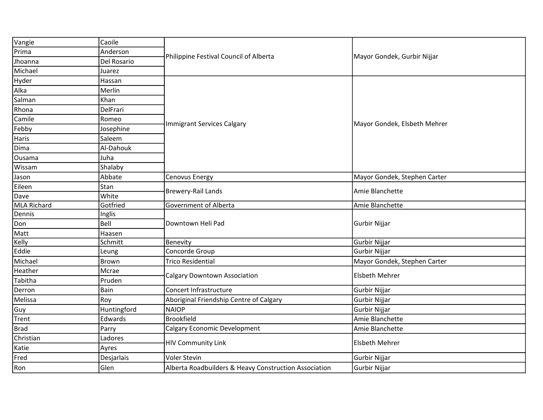| Vangie             | Caoile      |                                                       | Mayor Gondek, Gurbir Nijjar  |
|--------------------|-------------|-------------------------------------------------------|------------------------------|
| Prima              | Anderson    |                                                       |                              |
| Jhoanna            | Del Rosario | Philippine Festival Council of Alberta                |                              |
| Michael            | Juarez      |                                                       |                              |
| Hyder              | Hassan      |                                                       |                              |
| Alka               | Merlin      |                                                       |                              |
| Salman             | Khan        |                                                       |                              |
| Rhona              | DelFrari    |                                                       |                              |
| Camile             | Romeo       |                                                       |                              |
| Febby              | Josephine   | <b>Immigrant Services Calgary</b>                     | Mayor Gondek, Elsbeth Mehrer |
| Haris              | Saleem      |                                                       |                              |
| Dima               | Al-Dahouk   |                                                       |                              |
| Ousama             | Juha        |                                                       |                              |
| Wissam             | Shalaby     |                                                       |                              |
| Jason              | Abbate      | Cenovus Energy                                        | Mayor Gondek, Stephen Carter |
| Eileen             | Stan        |                                                       | Amie Blanchette              |
| Dave               | White       | <b>Brewery-Rail Lands</b>                             |                              |
| <b>MLA Richard</b> | Gotfried    | Government of Alberta                                 | Amie Blanchette              |
| Dennis             | Inglis      |                                                       | Gurbir Nijjar                |
| Don                | Bell        | Downtown Heli Pad                                     |                              |
| Matt               | Haasen      |                                                       |                              |
| Kelly              | Schmitt     | Benevity                                              | <b>Gurbir Nijjar</b>         |
| Eddie              | Leung       | Concorde Group                                        | Gurbir Nijjar                |
| Michael            | Brown       | <b>Trico Residential</b>                              | Mayor Gondek, Stephen Carter |
| Heather            | Mcrae       | <b>Calgary Downtown Association</b>                   | Elsbeth Mehrer               |
| Tabitha            | Pruden      |                                                       |                              |
| Derron             | Bain        | Concert Infrastructure                                | Gurbir Nijjar                |
| Melissa            | Roy         | Aboriginal Friendship Centre of Calgary               | Gurbir Nijjar                |
| Guy                | Huntingford | <b>NAIOP</b>                                          | Gurbir Nijjar                |
| Trent              | Edwards     | <b>Brookfield</b>                                     | Amie Blanchette              |
| Brad               | Parry       | Calgary Economic Development                          | Amie Blanchette              |
| Christian          | Ladores     | <b>HIV Community Link</b>                             | <b>Elsbeth Mehrer</b>        |
| Katie              | Ayres       |                                                       |                              |
| Fred               | Desjarlais  | Voler Stevin                                          | Gurbir Nijjar                |
| Ron                | Glen        | Alberta Roadbuilders & Heavy Construction Association | Gurbir Nijjar                |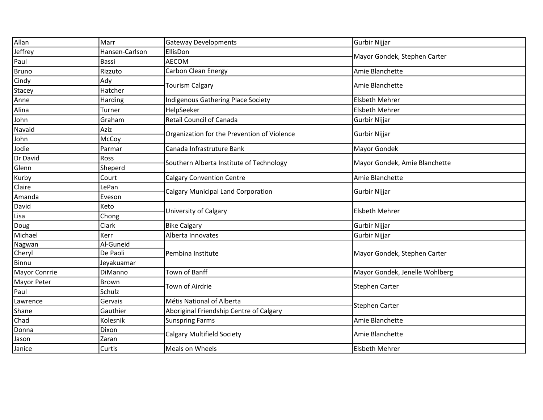| Allan              | Marr           | Gateway Developments                        | Gurbir Nijjar                  |
|--------------------|----------------|---------------------------------------------|--------------------------------|
| Jeffrey            | Hansen-Carlson | EllisDon                                    | Mayor Gondek, Stephen Carter   |
| Paul               | Bassi          | <b>AECOM</b>                                |                                |
| <b>Bruno</b>       | Rizzuto        | Carbon Clean Energy                         | Amie Blanchette                |
| Cindy              | Ady            | Tourism Calgary                             | Amie Blanchette                |
| Stacey             | Hatcher        |                                             |                                |
| Anne               | Harding        | <b>Indigenous Gathering Place Society</b>   | <b>Elsbeth Mehrer</b>          |
| Alina              | Turner         | HelpSeeker                                  | <b>Elsbeth Mehrer</b>          |
| John               | Graham         | Retail Council of Canada                    | Gurbir Nijjar                  |
| Navaid             | Aziz           |                                             |                                |
| John               | McCoy          | Organization for the Prevention of Violence | Gurbir Nijjar                  |
| Jodie              | Parmar         | Canada Infrastruture Bank                   | Mayor Gondek                   |
| Dr David           | Ross           | Southern Alberta Institute of Technology    |                                |
| Glenn              | Sheperd        |                                             | Mayor Gondek, Amie Blanchette  |
| Kurby              | Court          | <b>Calgary Convention Centre</b>            | Amie Blanchette                |
| Claire             | LePan          | <b>Calgary Municipal Land Corporation</b>   | Gurbir Nijjar                  |
| Amanda             | Eveson         |                                             |                                |
| David              | Keto           | University of Calgary                       | Elsbeth Mehrer                 |
| Lisa               | Chong          |                                             |                                |
| Doug               | Clark          | <b>Bike Calgary</b>                         | Gurbir Nijjar                  |
| Michael            | Kerr           | Alberta Innovates                           | Gurbir Nijjar                  |
| Nagwan             | Al-Guneid      |                                             |                                |
| Cheryl             | De Paoli       | Pembina Institute                           | Mayor Gondek, Stephen Carter   |
| <b>Binnu</b>       | Jeyakuamar     |                                             |                                |
| Mayor Conrrie      | DiManno        | Town of Banff                               | Mayor Gondek, Jenelle Wohlberg |
| <b>Mayor Peter</b> | Brown          | Town of Airdrie                             | <b>Stephen Carter</b>          |
| Paul               | Schulz         |                                             |                                |
| Lawrence           | Gervais        | Métis National of Alberta                   | Stephen Carter                 |
| Shane              | Gauthier       | Aboriginal Friendship Centre of Calgary     |                                |
| Chad               | Kolesnik       | Sunspring Farms                             | Amie Blanchette                |
| Donna              | Dixon          | Calgary Multifield Society                  | Amie Blanchette                |
| Jason              | Zaran          |                                             |                                |
| Janice             | Curtis         | Meals on Wheels                             | <b>Elsbeth Mehrer</b>          |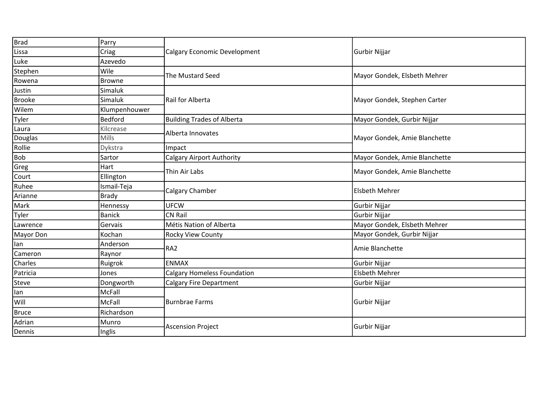| <b>Brad</b>   | Parry         |                                    | Gurbir Nijjar                 |
|---------------|---------------|------------------------------------|-------------------------------|
| Lissa         | Criag         | Calgary Economic Development       |                               |
| Luke          | Azevedo       |                                    |                               |
| Stephen       | Wile          | The Mustard Seed                   | Mayor Gondek, Elsbeth Mehrer  |
| Rowena        | Browne        |                                    |                               |
| Justin        | Simaluk       |                                    |                               |
| <b>Brooke</b> | Simaluk       | Rail for Alberta                   | Mayor Gondek, Stephen Carter  |
| Wilem         | Klumpenhouwer |                                    |                               |
| Tyler         | Bedford       | <b>Building Trades of Alberta</b>  | Mayor Gondek, Gurbir Nijjar   |
| Laura         | Kilcrease     | Alberta Innovates                  |                               |
| Douglas       | <b>Mills</b>  |                                    | Mayor Gondek, Amie Blanchette |
| Rollie        | Dykstra       | Impact                             |                               |
| Bob           | Sartor        | Calgary Airport Authority          | Mayor Gondek, Amie Blanchette |
| Greg          | Hart          | Thin Air Labs                      | Mayor Gondek, Amie Blanchette |
| Court         | Ellington     |                                    |                               |
| Ruhee         | Ismail-Teja   | Calgary Chamber                    | <b>Elsbeth Mehrer</b>         |
| Arianne       | <b>Brady</b>  |                                    |                               |
| Mark          | Hennessy      | <b>UFCW</b>                        | Gurbir Nijjar                 |
| Tyler         | <b>Banick</b> | <b>CN Rail</b>                     | Gurbir Nijjar                 |
| Lawrence      | Gervais       | Métis Nation of Alberta            | Mayor Gondek, Elsbeth Mehrer  |
| Mayor Don     | Kochan        | Rocky View County                  | Mayor Gondek, Gurbir Nijjar   |
| lan           | Anderson      | RA <sub>2</sub>                    | Amie Blanchette               |
| Cameron       | Raynor        |                                    |                               |
| Charles       | Ruigrok       | <b>ENMAX</b>                       | Gurbir Nijjar                 |
| Patricia      | Jones         | <b>Calgary Homeless Foundation</b> | <b>Elsbeth Mehrer</b>         |
| Steve         | Dongworth     | <b>Calgary Fire Department</b>     | Gurbir Nijjar                 |
| lan           | McFall        |                                    |                               |
| Will          | McFall        | <b>Burnbrae Farms</b>              | Gurbir Nijjar                 |
| <b>Bruce</b>  | Richardson    |                                    |                               |
| Adrian        | Munro         |                                    |                               |
| Dennis        | Inglis        | <b>Ascension Project</b>           | Gurbir Nijjar                 |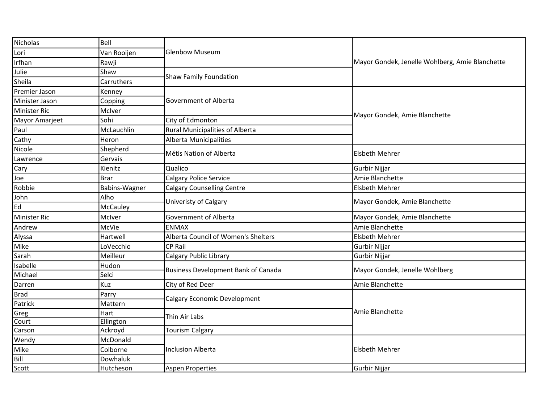| Nicholas       | Bell                 |                                            | Mayor Gondek, Jenelle Wohlberg, Amie Blanchette |
|----------------|----------------------|--------------------------------------------|-------------------------------------------------|
| Lori           | Van Rooijen          | <b>Glenbow Museum</b>                      |                                                 |
| Irfhan         | Rawji                |                                            |                                                 |
| Julie          | Shaw                 | <b>Shaw Family Foundation</b>              |                                                 |
| Sheila         | Carruthers           |                                            |                                                 |
| Premier Jason  | Kenney               |                                            |                                                 |
| Minister Jason | Copping              | Government of Alberta                      |                                                 |
| Minister Ric   | McIver               |                                            | Mayor Gondek, Amie Blanchette                   |
| Mayor Amarjeet | Sohi                 | City of Edmonton                           |                                                 |
| Paul           | McLauchlin           | <b>Rural Municipalities of Alberta</b>     |                                                 |
| Cathy          | Heron                | Alberta Municipalities                     |                                                 |
| Nicole         | Shepherd             | Métis Nation of Alberta                    | <b>Elsbeth Mehrer</b>                           |
| Lawrence       | Gervais              |                                            |                                                 |
| Cary           | Kienitz              | Qualico                                    | Gurbir Nijjar                                   |
| Joe            | Brar                 | <b>Calgary Police Service</b>              | Amie Blanchette                                 |
| Robbie         | <b>Babins-Wagner</b> | <b>Calgary Counselling Centre</b>          | <b>Elsbeth Mehrer</b>                           |
| John           | Alho                 | Univeristy of Calgary                      | Mayor Gondek, Amie Blanchette                   |
| Ed             | McCauley             |                                            |                                                 |
| Minister Ric   | McIver               | Government of Alberta                      | Mayor Gondek, Amie Blanchette                   |
| Andrew         | McVie                | <b>ENMAX</b>                               | Amie Blanchette                                 |
| Alyssa         | Hartwell             | Alberta Council of Women's Shelters        | <b>Elsbeth Mehrer</b>                           |
| Mike           | LoVecchio            | <b>CP Rail</b>                             | Gurbir Nijjar                                   |
| Sarah          | Meilleur             | Calgary Public Library                     | Gurbir Nijjar                                   |
| Isabelle       | Hudon                | <b>Business Development Bank of Canada</b> | Mayor Gondek, Jenelle Wohlberg                  |
| Michael        | Selci                |                                            |                                                 |
| Darren         | Kuz                  | City of Red Deer                           | Amie Blanchette                                 |
| Brad           | Parry                | Calgary Economic Development               |                                                 |
| Patrick        | Mattern              |                                            |                                                 |
| Greg           | Hart                 | Thin Air Labs                              | Amie Blanchette                                 |
| Court          | Ellington            |                                            |                                                 |
| Carson         | Ackroyd              | <b>Tourism Calgary</b>                     |                                                 |
| Wendy          | McDonald             |                                            |                                                 |
| Mike           | Colborne             | Inclusion Alberta                          | <b>Elsbeth Mehrer</b>                           |
| Bill           | Dowhaluk             |                                            |                                                 |
| Scott          | Hutcheson            | Aspen Properties                           | Gurbir Nijjar                                   |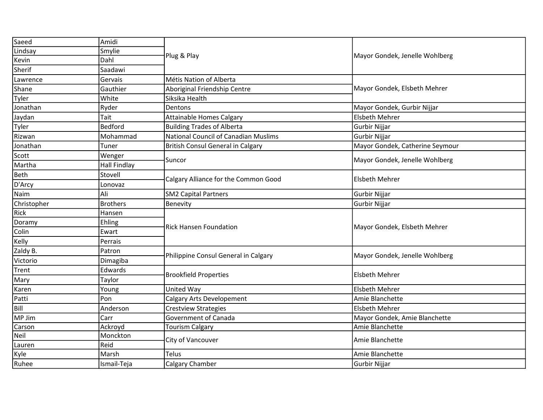| Saeed       | Amidi               |                                             | Mayor Gondek, Jenelle Wohlberg  |
|-------------|---------------------|---------------------------------------------|---------------------------------|
| Lindsay     | Smylie              | Plug & Play                                 |                                 |
| Kevin       | Dahl                |                                             |                                 |
| Sherif      | Saadawi             |                                             |                                 |
| Lawrence    | Gervais             | Métis Nation of Alberta                     |                                 |
| Shane       | Gauthier            | Aboriginal Friendship Centre                | Mayor Gondek, Elsbeth Mehrer    |
| Tyler       | White               | Siksika Health                              |                                 |
| Jonathan    | Ryder               | Dentons                                     | Mayor Gondek, Gurbir Nijjar     |
| Jaydan      | Tait                | <b>Attainable Homes Calgary</b>             | Elsbeth Mehrer                  |
| Tyler       | <b>Bedford</b>      | <b>Building Trades of Alberta</b>           | Gurbir Nijjar                   |
| Rizwan      | Mohammad            | <b>National Council of Canadian Muslims</b> | Gurbir Nijjar                   |
| Jonathan    | Tuner               | British Consul General in Calgary           | Mayor Gondek, Catherine Seymour |
| Scott       | Wenger              |                                             |                                 |
| Martha      | <b>Hall Findlay</b> | Suncor                                      | Mayor Gondek, Jenelle Wohlberg  |
| Beth        | Stovell             | Calgary Alliance for the Common Good        |                                 |
| D'Arcy      | Lonovaz             |                                             | <b>Elsbeth Mehrer</b>           |
| Naim        | Ali                 | SM2 Capital Partners                        | Gurbir Nijjar                   |
| Christopher | <b>Brothers</b>     | Benevity                                    | Gurbir Nijjar                   |
| Rick        | Hansen              | <b>Rick Hansen Foundation</b>               | Mayor Gondek, Elsbeth Mehrer    |
| Doramy      | Ehling              |                                             |                                 |
| Colin       | Ewart               |                                             |                                 |
| Kelly       | Perrais             |                                             |                                 |
| Zaldy B.    | Patron              |                                             | Mayor Gondek, Jenelle Wohlberg  |
| Victorio    | Dimagiba            | Philippine Consul General in Calgary        |                                 |
| Trent       | Edwards             | <b>Brookfield Properties</b>                | <b>Elsbeth Mehrer</b>           |
| Mary        | Taylor              |                                             |                                 |
| Karen       | Young               | United Way                                  | <b>Elsbeth Mehrer</b>           |
| Patti       | Pon                 | <b>Calgary Arts Developement</b>            | Amie Blanchette                 |
| Bill        | Anderson            | <b>Crestview Strategies</b>                 | <b>Elsbeth Mehrer</b>           |
| MP Jim      | Carr                | <b>Government of Canada</b>                 | Mayor Gondek, Amie Blanchette   |
| Carson      | Ackroyd             | <b>Tourism Calgary</b>                      | Amie Blanchette                 |
| Neil        | Monckton            | City of Vancouver                           | Amie Blanchette                 |
| Lauren      | Reid                |                                             |                                 |
| Kyle        | Marsh               | <b>Telus</b>                                | Amie Blanchette                 |
| Ruhee       | Ismail-Teja         | Calgary Chamber                             | Gurbir Nijjar                   |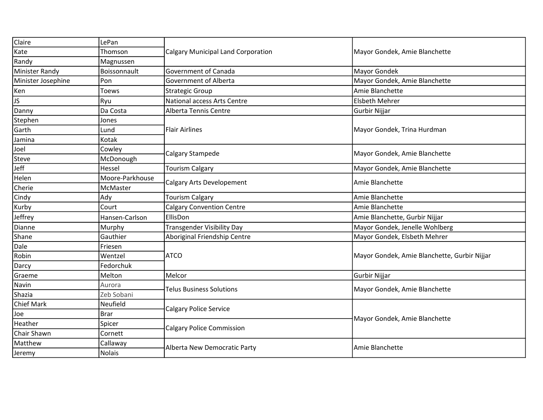| Claire                | LePan           | <b>Calgary Municipal Land Corporation</b> | Mayor Gondek, Amie Blanchette                |
|-----------------------|-----------------|-------------------------------------------|----------------------------------------------|
| Kate                  | Thomson         |                                           |                                              |
| Randy                 | Magnussen       |                                           |                                              |
| <b>Minister Randy</b> | Boissonnault    | Government of Canada                      | Mayor Gondek                                 |
| Minister Josephine    | Pon             | Government of Alberta                     | Mayor Gondek, Amie Blanchette                |
| Ken                   | <b>Toews</b>    | <b>Strategic Group</b>                    | Amie Blanchette                              |
| JS                    | Ryu             | National access Arts Centre               | Elsbeth Mehrer                               |
| Danny                 | Da Costa        | Alberta Tennis Centre                     | Gurbir Nijjar                                |
| Stephen               | Jones           |                                           |                                              |
| Garth                 | Lund            | <b>Flair Airlines</b>                     | Mayor Gondek, Trina Hurdman                  |
| Jamina                | Kotak           |                                           |                                              |
| Joel                  | Cowley          | Calgary Stampede                          | Mayor Gondek, Amie Blanchette                |
| Steve                 | McDonough       |                                           |                                              |
| Jeff                  | Hessel          | <b>Tourism Calgary</b>                    | Mayor Gondek, Amie Blanchette                |
| Helen                 | Moore-Parkhouse | Calgary Arts Developement                 | Amie Blanchette                              |
| Cherie                | McMaster        |                                           |                                              |
| Cindy                 | Ady             | <b>Tourism Calgary</b>                    | Amie Blanchette                              |
| Kurby                 | Court           | <b>Calgary Convention Centre</b>          | Amie Blanchette                              |
| Jeffrey               | Hansen-Carlson  | EllisDon                                  | Amie Blanchette, Gurbir Nijjar               |
| Dianne                | Murphy          | <b>Transgender Visibility Day</b>         | Mayor Gondek, Jenelle Wohlberg               |
| Shane                 | Gauthier        | Aboriginal Friendship Centre              | Mayor Gondek, Elsbeth Mehrer                 |
| Dale                  | Friesen         |                                           | Mayor Gondek, Amie Blanchette, Gurbir Nijjar |
| Robin                 | Wentzel         | <b>ATCO</b>                               |                                              |
| Darcy                 | Fedorchuk       |                                           |                                              |
| Graeme                | Melton          | Melcor                                    | Gurbir Nijjar                                |
| Navin                 | Aurora          | <b>Telus Business Solutions</b>           | Mayor Gondek, Amie Blanchette                |
| Shazia                | Zeb Sobani      |                                           |                                              |
| <b>Chief Mark</b>     | Neufield        | <b>Calgary Police Service</b>             |                                              |
| Joe                   | Brar            |                                           |                                              |
| Heather               | Spicer          | <b>Calgary Police Commission</b>          | Mayor Gondek, Amie Blanchette                |
| Chair Shawn           | Cornett         |                                           |                                              |
| Matthew               | Callaway        |                                           |                                              |
| Jeremy                | Nolais          | Alberta New Democratic Party              | Amie Blanchette                              |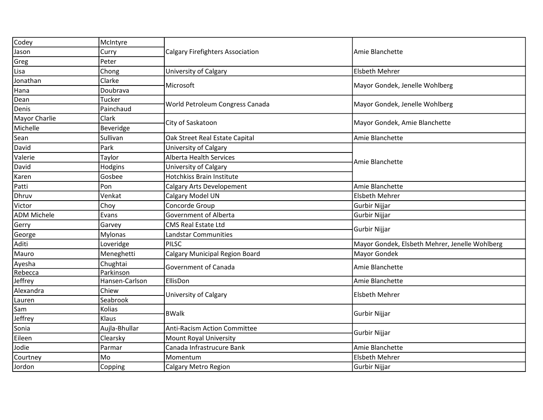| Codey              | McIntyre       |                                         | Amie Blanchette                                |
|--------------------|----------------|-----------------------------------------|------------------------------------------------|
| Jason              | Curry          | <b>Calgary Firefighters Association</b> |                                                |
| Greg               | Peter          |                                         |                                                |
| Lisa               | Chong          | University of Calgary                   | <b>Elsbeth Mehrer</b>                          |
| Jonathan           | Clarke         | Microsoft                               |                                                |
| Hana               | Doubrava       |                                         | Mayor Gondek, Jenelle Wohlberg                 |
| Dean               | Tucker         | World Petroleum Congress Canada         | Mayor Gondek, Jenelle Wohlberg                 |
| Denis              | Painchaud      |                                         |                                                |
| Mayor Charlie      | Clark          | City of Saskatoon                       | Mayor Gondek, Amie Blanchette                  |
| Michelle           | Beveridge      |                                         |                                                |
| Sean               | Sullivan       | Oak Street Real Estate Capital          | Amie Blanchette                                |
| David              | Park           | University of Calgary                   |                                                |
| Valerie            | Taylor         | <b>Alberta Health Services</b>          | <b>Amie Blanchette</b>                         |
| David              | Hodgins        | University of Calgary                   |                                                |
| Karen              | Gosbee         | Hotchkiss Brain Institute               |                                                |
| Patti              | Pon            | Calgary Arts Developement               | Amie Blanchette                                |
| Dhruv              | Venkat         | Calgary Model UN                        | Elsbeth Mehrer                                 |
| Victor             | Choy           | Concorde Group                          | Gurbir Nijjar                                  |
| <b>ADM Michele</b> | Evans          | Government of Alberta                   | Gurbir Nijjar                                  |
| Gerry              | Garvey         | <b>CMS Real Estate Ltd</b>              |                                                |
| George             | <b>Mylonas</b> | Landstar Communities                    | Gurbir Nijjar                                  |
| Aditi              | Loveridge      | <b>PILSC</b>                            | Mayor Gondek, Elsbeth Mehrer, Jenelle Wohlberg |
| Mauro              | Meneghetti     | Calgary Municipal Region Board          | Mayor Gondek                                   |
| Ayesha             | Chughtai       | Government of Canada                    | Amie Blanchette                                |
| Rebecca            | Parkinson      |                                         |                                                |
| Jeffrey            | Hansen-Carlson | EllisDon                                | Amie Blanchette                                |
| Alexandra          | Chiew          | University of Calgary                   | <b>Elsbeth Mehrer</b>                          |
| Lauren             | Seabrook       |                                         |                                                |
| Sam                | Kolias         | <b>BWalk</b>                            | Gurbir Nijjar                                  |
| Jeffrey            | Klaus          |                                         |                                                |
| Sonia              | Aujla-Bhullar  | <b>Anti-Racism Action Committee</b>     | Gurbir Nijjar                                  |
| Eileen             | Clearsky       | Mount Royal University                  |                                                |
| Jodie              | Parmar         | Canada Infrastrucure Bank               | Amie Blanchette                                |
| Courtney           | Mo             | Momentum                                | <b>Elsbeth Mehrer</b>                          |
| Jordon             | Copping        | <b>Calgary Metro Region</b>             | Gurbir Nijjar                                  |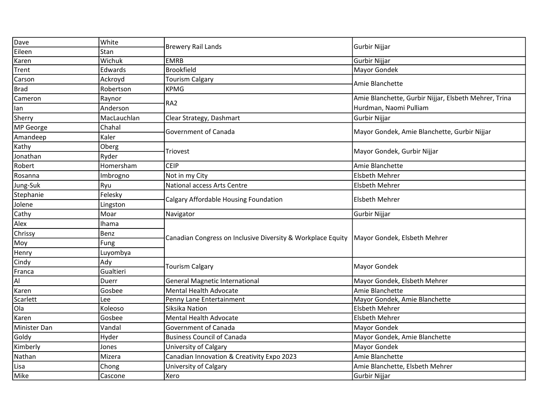| Dave         | White       | <b>Brewery Rail Lands</b>                                   | Gurbir Nijjar                                         |
|--------------|-------------|-------------------------------------------------------------|-------------------------------------------------------|
| Eileen       | Stan        |                                                             |                                                       |
| Karen        | Wichuk      | <b>EMRB</b>                                                 | Gurbir Nijjar                                         |
| Trent        | Edwards     | <b>Brookfield</b>                                           | Mayor Gondek                                          |
| Carson       | Ackroyd     | <b>Tourism Calgary</b>                                      | Amie Blanchette                                       |
| <b>Brad</b>  | Robertson   | <b>KPMG</b>                                                 |                                                       |
| Cameron      | Raynor      | RA <sub>2</sub>                                             | Amie Blanchette, Gurbir Nijjar, Elsbeth Mehrer, Trina |
| lan          | Anderson    |                                                             | Hurdman, Naomi Pulliam                                |
| Sherry       | MacLauchlan | Clear Strategy, Dashmart                                    | Gurbir Nijjar                                         |
| MP George    | Chahal      | Government of Canada                                        | Mayor Gondek, Amie Blanchette, Gurbir Nijjar          |
| Amandeep     | Kaler       |                                                             |                                                       |
| Kathy        | Oberg       | Triovest                                                    | Mayor Gondek, Gurbir Nijjar                           |
| Jonathan     | Ryder       |                                                             |                                                       |
| Robert       | Homersham   | <b>CEIP</b>                                                 | Amie Blanchette                                       |
| Rosanna      | Imbrogno    | Not in my City                                              | <b>Elsbeth Mehrer</b>                                 |
| Jung-Suk     | Ryu         | National access Arts Centre                                 | <b>Elsbeth Mehrer</b>                                 |
| Stephanie    | Felesky     |                                                             | Elsbeth Mehrer                                        |
| Jolene       | Lingston    | Calgary Affordable Housing Foundation                       |                                                       |
| Cathy        | Moar        | Navigator                                                   | Gurbir Nijjar                                         |
| Alex         | Ihama       | Canadian Congress on Inclusive Diversity & Workplace Equity | Mayor Gondek, Elsbeth Mehrer                          |
| Chrissy      | Benz        |                                                             |                                                       |
| Moy          | Fung        |                                                             |                                                       |
| Henry        | Luyombya    |                                                             |                                                       |
| Cindy        | Ady         | <b>Tourism Calgary</b>                                      | <b>Mayor Gondek</b>                                   |
| Franca       | Gualtieri   |                                                             |                                                       |
| Al           | Duerr       | <b>General Magnetic International</b>                       | Mayor Gondek, Elsbeth Mehrer                          |
| Karen        | Gosbee      | <b>Mental Health Advocate</b>                               | Amie Blanchette                                       |
| Scarlett     | Lee         | Penny Lane Entertainment                                    | Mayor Gondek, Amie Blanchette                         |
| Ola          | Koleoso     | Siksika Nation                                              | <b>Elsbeth Mehrer</b>                                 |
| Karen        | Gosbee      | <b>Mental Health Advocate</b>                               | Elsbeth Mehrer                                        |
| Minister Dan | Vandal      | Government of Canada                                        | Mayor Gondek                                          |
| Goldy        | Hyder       | <b>Business Council of Canada</b>                           | Mayor Gondek, Amie Blanchette                         |
| Kimberly     | Jones       | University of Calgary                                       | Mayor Gondek                                          |
| Nathan       | Mizera      | Canadian Innovation & Creativity Expo 2023                  | Amie Blanchette                                       |
| Lisa         | Chong       | University of Calgary                                       | Amie Blanchette, Elsbeth Mehrer                       |
| Mike         | Cascone     | Xero                                                        | Gurbir Nijjar                                         |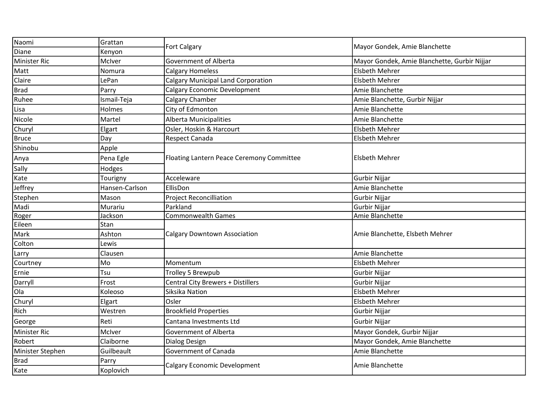| Naomi               | Grattan        | <b>Fort Calgary</b>                       | Mayor Gondek, Amie Blanchette                |
|---------------------|----------------|-------------------------------------------|----------------------------------------------|
| Diane               | Kenyon         |                                           |                                              |
| <b>Minister Ric</b> | McIver         | Government of Alberta                     | Mayor Gondek, Amie Blanchette, Gurbir Nijjar |
| Matt                | Nomura         | <b>Calgary Homeless</b>                   | Elsbeth Mehrer                               |
| Claire              | LePan          | <b>Calgary Municipal Land Corporation</b> | Elsbeth Mehrer                               |
| <b>Brad</b>         | Parry          | Calgary Economic Development              | Amie Blanchette                              |
| Ruhee               | Ismail-Teja    | Calgary Chamber                           | Amie Blanchette, Gurbir Nijjar               |
| Lisa                | Holmes         | City of Edmonton                          | Amie Blanchette                              |
| Nicole              | Martel         | Alberta Municipalities                    | Amie Blanchette                              |
| Churyl              | Elgart         | Osler, Hoskin & Harcourt                  | <b>Elsbeth Mehrer</b>                        |
| <b>Bruce</b>        | Day            | <b>Respect Canada</b>                     | <b>Elsbeth Mehrer</b>                        |
| Shinobu             | Apple          |                                           | Elsbeth Mehrer                               |
| Anya                | Pena Egle      | Floating Lantern Peace Ceremony Committee |                                              |
| Sally               | Hodges         |                                           |                                              |
| Kate                | Tourigny       | Acceleware                                | Gurbir Nijjar                                |
| Jeffrey             | Hansen-Carlson | EllisDon                                  | Amie Blanchette                              |
| Stephen             | Mason          | <b>Project Reconcilliation</b>            | Gurbir Nijjar                                |
| Madi                | Murariu        | Parkland                                  | Gurbir Nijjar                                |
| Roger               | Jackson        | <b>Commonwealth Games</b>                 | Amie Blanchette                              |
| Eileen              | Stan           | <b>Calgary Downtown Association</b>       | Amie Blanchette, Elsbeth Mehrer              |
| Mark                | Ashton         |                                           |                                              |
| Colton              | Lewis          |                                           |                                              |
| Larry               | Clausen        |                                           | Amie Blanchette                              |
| Courtney            | Mo             | Momentum                                  | <b>Elsbeth Mehrer</b>                        |
| Ernie               | Tsu            | Trolley 5 Brewpub                         | Gurbir Nijjar                                |
| Darryll             | Frost          | Central City Brewers + Distillers         | Gurbir Nijjar                                |
| Ola                 | Koleoso        | Siksika Nation                            | <b>Elsbeth Mehrer</b>                        |
| Churyl              | Elgart         | Osler                                     | Elsbeth Mehrer                               |
| Rich                | Westren        | <b>Brookfield Properties</b>              | Gurbir Nijjar                                |
| George              | Reti           | Cantana Investments Ltd                   | Gurbir Nijjar                                |
| <b>Minister Ric</b> | McIver         | Government of Alberta                     | Mayor Gondek, Gurbir Nijjar                  |
| Robert              | Claiborne      | Dialog Design                             | Mayor Gondek, Amie Blanchette                |
| Minister Stephen    | Guilbeault     | Government of Canada                      | Amie Blanchette                              |
| <b>Brad</b>         | Parry          | Calgary Economic Development              | Amie Blanchette                              |
| Kate                | Koplovich      |                                           |                                              |